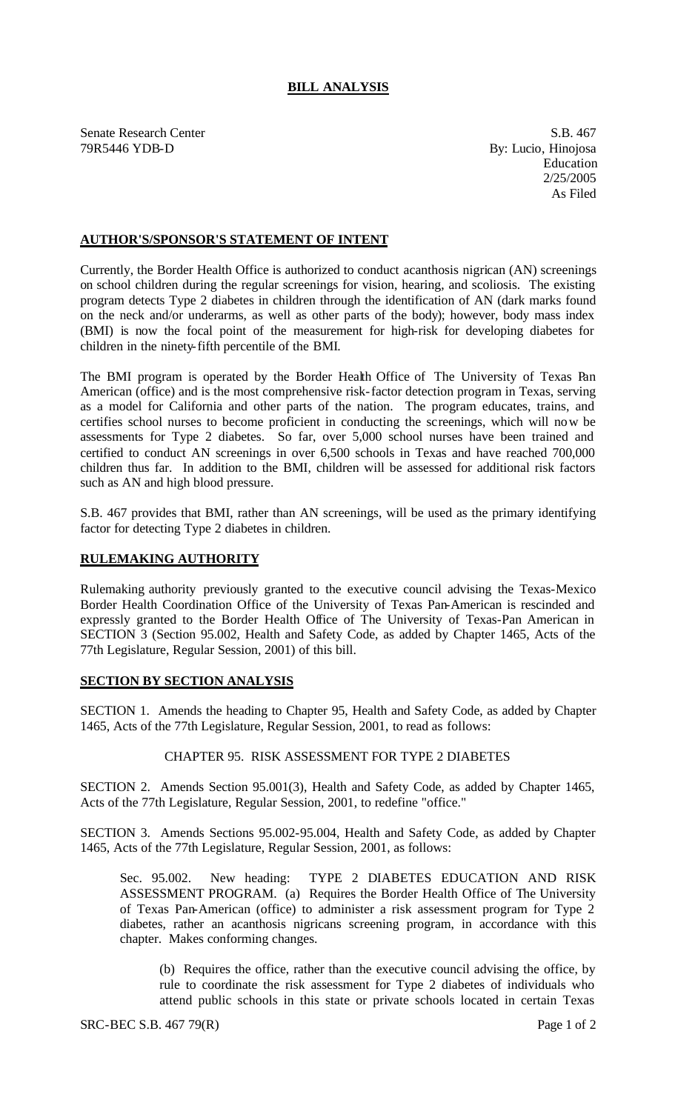# **BILL ANALYSIS**

Senate Research Center S.B. 467 79R5446 YDB-D By: Lucio, Hinojosa

Education 2/25/2005 As Filed

## **AUTHOR'S/SPONSOR'S STATEMENT OF INTENT**

Currently, the Border Health Office is authorized to conduct acanthosis nigrican (AN) screenings on school children during the regular screenings for vision, hearing, and scoliosis. The existing program detects Type 2 diabetes in children through the identification of AN (dark marks found on the neck and/or underarms, as well as other parts of the body); however, body mass index (BMI) is now the focal point of the measurement for high-risk for developing diabetes for children in the ninety-fifth percentile of the BMI.

The BMI program is operated by the Border Health Office of The University of Texas Pan American (office) and is the most comprehensive risk-factor detection program in Texas, serving as a model for California and other parts of the nation. The program educates, trains, and certifies school nurses to become proficient in conducting the screenings, which will now be assessments for Type 2 diabetes. So far, over 5,000 school nurses have been trained and certified to conduct AN screenings in over 6,500 schools in Texas and have reached 700,000 children thus far. In addition to the BMI, children will be assessed for additional risk factors such as AN and high blood pressure.

S.B. 467 provides that BMI, rather than AN screenings, will be used as the primary identifying factor for detecting Type 2 diabetes in children.

### **RULEMAKING AUTHORITY**

Rulemaking authority previously granted to the executive council advising the Texas-Mexico Border Health Coordination Office of the University of Texas Pan-American is rescinded and expressly granted to the Border Health Office of The University of Texas-Pan American in SECTION 3 (Section 95.002, Health and Safety Code, as added by Chapter 1465, Acts of the 77th Legislature, Regular Session, 2001) of this bill.

### **SECTION BY SECTION ANALYSIS**

SECTION 1. Amends the heading to Chapter 95, Health and Safety Code, as added by Chapter 1465, Acts of the 77th Legislature, Regular Session, 2001, to read as follows:

#### CHAPTER 95. RISK ASSESSMENT FOR TYPE 2 DIABETES

SECTION 2. Amends Section 95.001(3), Health and Safety Code, as added by Chapter 1465, Acts of the 77th Legislature, Regular Session, 2001, to redefine "office."

SECTION 3. Amends Sections 95.002-95.004, Health and Safety Code, as added by Chapter 1465, Acts of the 77th Legislature, Regular Session, 2001, as follows:

Sec. 95.002. New heading: TYPE 2 DIABETES EDUCATION AND RISK ASSESSMENT PROGRAM. (a) Requires the Border Health Office of The University of Texas Pan-American (office) to administer a risk assessment program for Type 2 diabetes, rather an acanthosis nigricans screening program, in accordance with this chapter. Makes conforming changes.

(b) Requires the office, rather than the executive council advising the office, by rule to coordinate the risk assessment for Type 2 diabetes of individuals who attend public schools in this state or private schools located in certain Texas